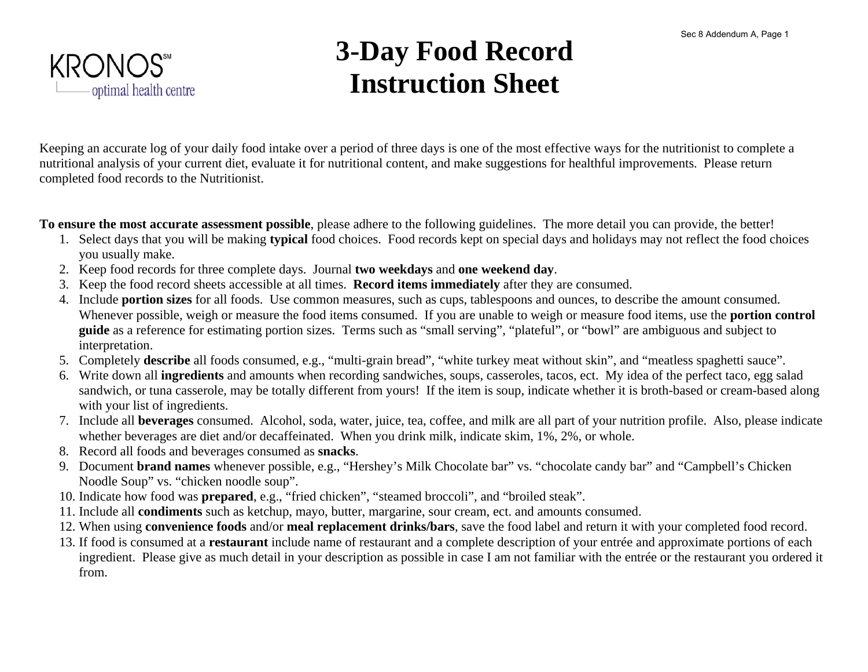

### **3-Day Food Record Instruction Sheet**

Keeping an accurate log of your daily food intake over a period of three days is one of the most effective ways for the nutritionist to complete a nutritional analysis of your current diet, evaluate it for nutritional content, and make suggestions for healthful improvements. Please return completed food records to the Nutritionist.

**To ensure the most accurate assessment possible**, please adhere to the following guidelines. The more detail you can provide, the better!

- 1. Select days that you will be making **typical** food choices. Food records kept on special days and holidays may not reflect the food choices you usually make.
- 2. Keep food records for three complete days. Journal **two weekdays** and **one weekend day**.
- 3. Keep the food record sheets accessible at all times. **Record items immediately** after they are consumed.
- 4. Include **portion sizes** for all foods. Use common measures, such as cups, tablespoons and ounces, to describe the amount consumed. Whenever possible, weigh or measure the food items consumed. If you are unable to weigh or measure food items, use the **portion control guide** as a reference for estimating portion sizes. Terms such as "small serving", "plateful", or "bowl" are ambiguous and subject to interpretation.
- 5. Completely **describe** all foods consumed, e.g., "multi-grain bread", "white turkey meat without skin", and "meatless spaghetti sauce".
- 6. Write down all **ingredients** and amounts when recording sandwiches, soups, casseroles, tacos, ect. My idea of the perfect taco, egg salad sandwich, or tuna casserole, may be totally different from yours! If the item is soup, indicate whether it is broth-based or cream-based along with your list of ingredients.
- 7. Include all **beverages** consumed. Alcohol, soda, water, juice, tea, coffee, and milk are all part of your nutrition profile. Also, please indicate whether beverages are diet and/or decaffeinated. When you drink milk, indicate skim, 1%, 2%, or whole.
- 8. Record all foods and beverages consumed as **snacks**.
- 9. Document **brand names** whenever possible, e.g., "Hershey's Milk Chocolate bar" vs. "chocolate candy bar" and "Campbell's Chicken Noodle Soup" vs. "chicken noodle soup".
- 10. Indicate how food was **prepared**, e.g., "fried chicken", "steamed broccoli", and "broiled steak".
- 11. Include all **condiments** such as ketchup, mayo, butter, margarine, sour cream, ect. and amounts consumed.
- 12. When using **convenience foods** and/or **meal replacement drinks/bars**, save the food label and return it with your completed food record.
- 13. If food is consumed at a **restaurant** include name of restaurant and a complete description of your entrée and approximate portions of each ingredient. Please give as much detail in your description as possible in case I am not familiar with the entrée or the restaurant you ordered it from.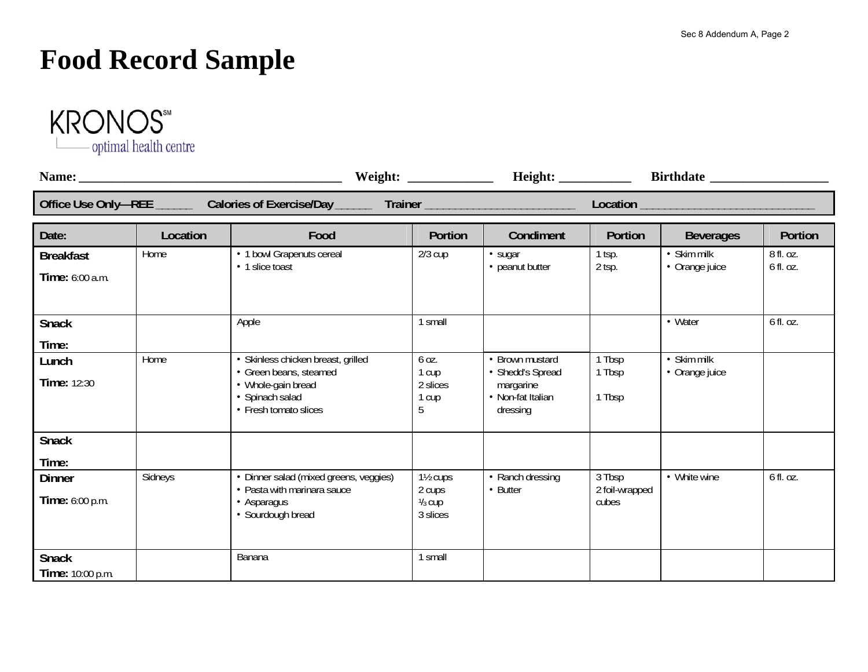# **Food Record Sample**



| Office Use Only-REE _________ Calories of Exercise/Day _________ Trainer __________________________ |          |                                                                                                                                |                                                                       |                                                                                   |                                   |                                       |           |
|-----------------------------------------------------------------------------------------------------|----------|--------------------------------------------------------------------------------------------------------------------------------|-----------------------------------------------------------------------|-----------------------------------------------------------------------------------|-----------------------------------|---------------------------------------|-----------|
| Date:                                                                                               | Location | Food                                                                                                                           | Portion                                                               | Condiment                                                                         | Portion                           | <b>Beverages</b>                      | Portion   |
| <b>Breakfast</b>                                                                                    | Home     | • 1 bowl Grapenuts cereal                                                                                                      | $2/3$ cup                                                             | • sugar                                                                           | $1$ tsp.                          | • Skim milk                           | 8 fl. oz. |
| Time: 6:00 a.m.                                                                                     |          | • 1 slice toast                                                                                                                |                                                                       | • peanut butter                                                                   | 2 tsp.                            | • Orange juice                        | 6 fl. oz. |
| <b>Snack</b>                                                                                        |          | Apple                                                                                                                          | 1 small                                                               |                                                                                   |                                   | • Water                               | 6 fl. oz. |
| Time:                                                                                               |          |                                                                                                                                |                                                                       |                                                                                   |                                   |                                       |           |
| Lunch<br>Time: 12:30                                                                                | Home     | · Skinless chicken breast, grilled<br>• Green beans, steamed<br>• Whole-gain bread<br>• Spinach salad<br>• Fresh tomato slices | 6 oz.<br>1 cup<br>2 slices<br>1 cup<br>5                              | • Brown mustard<br>• Shedd's Spread<br>margarine<br>• Non-fat Italian<br>dressing | 1 Tbsp<br>1 Tbsp<br>1 Tbsp        | $\bullet$ Skim milk<br>• Orange juice |           |
| <b>Snack</b>                                                                                        |          |                                                                                                                                |                                                                       |                                                                                   |                                   |                                       |           |
| Time:                                                                                               |          |                                                                                                                                |                                                                       |                                                                                   |                                   |                                       |           |
| <b>Dinner</b><br>Time: 6:00 p.m.                                                                    | Sidneys  | · Dinner salad (mixed greens, veggies)<br>• Pasta with marinara sauce<br>• Asparagus<br>• Sourdough bread                      | 1 <sup>1</sup> / <sub>2</sub> cups<br>2 cups<br>$1/3$ cup<br>3 slices | • Ranch dressing<br>• Butter                                                      | 3 Tbsp<br>2 foil-wrapped<br>cubes | • White wine                          | 6 fl. oz. |
| <b>Snack</b><br>Time: 10:00 p.m.                                                                    |          | Banana                                                                                                                         | 1 small                                                               |                                                                                   |                                   |                                       |           |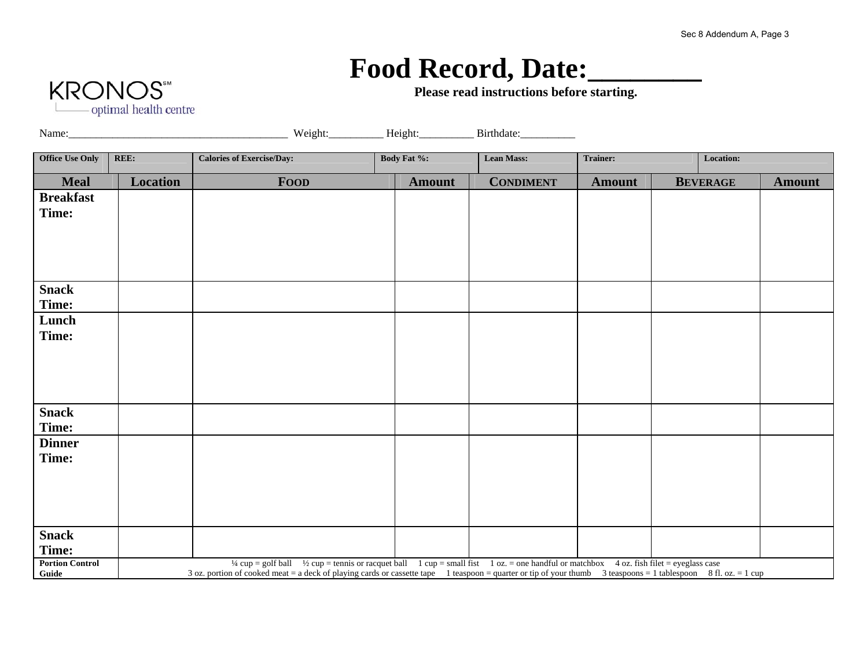#### Food Record, Date:

**Please read instructions before starting.** 



Name: Name: Neight: Height: Birthdate: Birthdate:

| <b>Office Use Only</b>          | REE:     | <b>Calories of Exercise/Day:</b>                                                                                                                                                                                                                                                                                               | Body Fat %:   | <b>Lean Mass:</b> | Location:<br>Trainer: |                 |               |  |  |
|---------------------------------|----------|--------------------------------------------------------------------------------------------------------------------------------------------------------------------------------------------------------------------------------------------------------------------------------------------------------------------------------|---------------|-------------------|-----------------------|-----------------|---------------|--|--|
| <b>Meal</b>                     | Location | <b>FOOD</b>                                                                                                                                                                                                                                                                                                                    | <b>Amount</b> | <b>CONDIMENT</b>  | <b>Amount</b>         | <b>BEVERAGE</b> | <b>Amount</b> |  |  |
| <b>Breakfast</b><br>Time:       |          |                                                                                                                                                                                                                                                                                                                                |               |                   |                       |                 |               |  |  |
|                                 |          |                                                                                                                                                                                                                                                                                                                                |               |                   |                       |                 |               |  |  |
| <b>Snack</b><br>Time:           |          |                                                                                                                                                                                                                                                                                                                                |               |                   |                       |                 |               |  |  |
| Lunch<br>Time:                  |          |                                                                                                                                                                                                                                                                                                                                |               |                   |                       |                 |               |  |  |
|                                 |          |                                                                                                                                                                                                                                                                                                                                |               |                   |                       |                 |               |  |  |
| <b>Snack</b><br>Time:           |          |                                                                                                                                                                                                                                                                                                                                |               |                   |                       |                 |               |  |  |
| <b>Dinner</b><br>Time:          |          |                                                                                                                                                                                                                                                                                                                                |               |                   |                       |                 |               |  |  |
|                                 |          |                                                                                                                                                                                                                                                                                                                                |               |                   |                       |                 |               |  |  |
| <b>Snack</b><br>Time:           |          |                                                                                                                                                                                                                                                                                                                                |               |                   |                       |                 |               |  |  |
| <b>Portion Control</b><br>Guide |          | $\frac{1}{4}$ cup = golf ball $\frac{1}{2}$ cup = tennis or racquet ball 1 cup = small fist 1 oz. = one handful or matchbox 4 oz. fish filet = eyeglass case<br>3 oz. portion of cooked meat = a deck of playing cards or cassette tape 1 teaspoon = quarter or tip of your thumb 3 teaspoons = 1 tablespoon 8 fl. oz. = 1 cup |               |                   |                       |                 |               |  |  |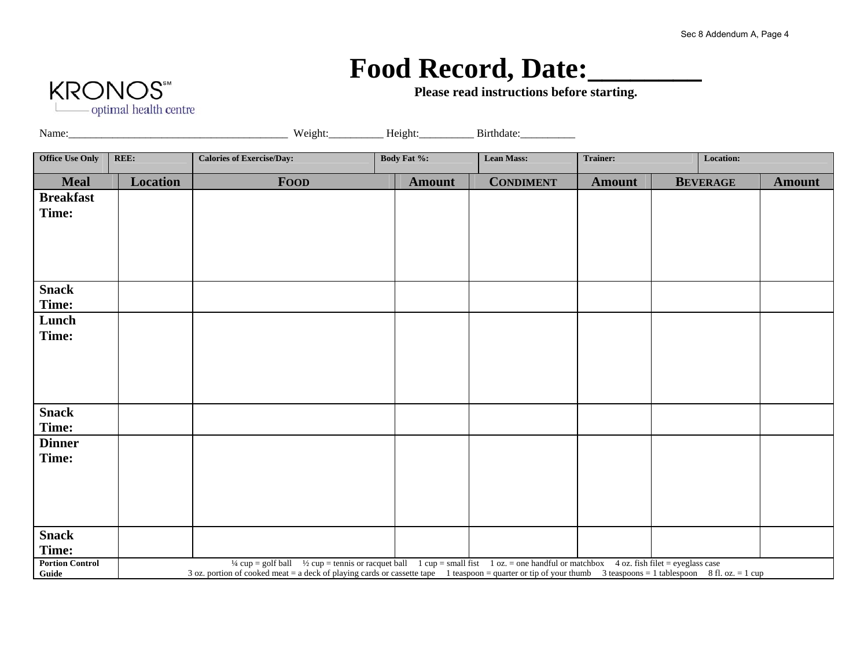# Food Record, Date:

**KRONOS** - optimal health centre

**Please read instructions before starting.** 

Name: Name: Neight: Height: Birthdate: Birthdate:

| <b>Office Use Only</b>          | REE:            | <b>Calories of Exercise/Day:</b>                                                                                                                                                                                                                                                                                               | <b>Body Fat %:</b> | <b>Lean Mass:</b> | <b>Trainer:</b> |  | Location:       |               |  |  |
|---------------------------------|-----------------|--------------------------------------------------------------------------------------------------------------------------------------------------------------------------------------------------------------------------------------------------------------------------------------------------------------------------------|--------------------|-------------------|-----------------|--|-----------------|---------------|--|--|
| <b>Meal</b>                     | <b>Location</b> | <b>FOOD</b>                                                                                                                                                                                                                                                                                                                    | <b>Amount</b>      | <b>CONDIMENT</b>  | <b>Amount</b>   |  | <b>BEVERAGE</b> | <b>Amount</b> |  |  |
| <b>Breakfast</b>                |                 |                                                                                                                                                                                                                                                                                                                                |                    |                   |                 |  |                 |               |  |  |
| Time:                           |                 |                                                                                                                                                                                                                                                                                                                                |                    |                   |                 |  |                 |               |  |  |
|                                 |                 |                                                                                                                                                                                                                                                                                                                                |                    |                   |                 |  |                 |               |  |  |
|                                 |                 |                                                                                                                                                                                                                                                                                                                                |                    |                   |                 |  |                 |               |  |  |
|                                 |                 |                                                                                                                                                                                                                                                                                                                                |                    |                   |                 |  |                 |               |  |  |
|                                 |                 |                                                                                                                                                                                                                                                                                                                                |                    |                   |                 |  |                 |               |  |  |
| <b>Snack</b>                    |                 |                                                                                                                                                                                                                                                                                                                                |                    |                   |                 |  |                 |               |  |  |
| Time:                           |                 |                                                                                                                                                                                                                                                                                                                                |                    |                   |                 |  |                 |               |  |  |
| Lunch                           |                 |                                                                                                                                                                                                                                                                                                                                |                    |                   |                 |  |                 |               |  |  |
| Time:                           |                 |                                                                                                                                                                                                                                                                                                                                |                    |                   |                 |  |                 |               |  |  |
|                                 |                 |                                                                                                                                                                                                                                                                                                                                |                    |                   |                 |  |                 |               |  |  |
|                                 |                 |                                                                                                                                                                                                                                                                                                                                |                    |                   |                 |  |                 |               |  |  |
|                                 |                 |                                                                                                                                                                                                                                                                                                                                |                    |                   |                 |  |                 |               |  |  |
| <b>Snack</b>                    |                 |                                                                                                                                                                                                                                                                                                                                |                    |                   |                 |  |                 |               |  |  |
| Time:                           |                 |                                                                                                                                                                                                                                                                                                                                |                    |                   |                 |  |                 |               |  |  |
| <b>Dinner</b>                   |                 |                                                                                                                                                                                                                                                                                                                                |                    |                   |                 |  |                 |               |  |  |
| Time:                           |                 |                                                                                                                                                                                                                                                                                                                                |                    |                   |                 |  |                 |               |  |  |
|                                 |                 |                                                                                                                                                                                                                                                                                                                                |                    |                   |                 |  |                 |               |  |  |
|                                 |                 |                                                                                                                                                                                                                                                                                                                                |                    |                   |                 |  |                 |               |  |  |
|                                 |                 |                                                                                                                                                                                                                                                                                                                                |                    |                   |                 |  |                 |               |  |  |
|                                 |                 |                                                                                                                                                                                                                                                                                                                                |                    |                   |                 |  |                 |               |  |  |
| <b>Snack</b>                    |                 |                                                                                                                                                                                                                                                                                                                                |                    |                   |                 |  |                 |               |  |  |
| Time:                           |                 |                                                                                                                                                                                                                                                                                                                                |                    |                   |                 |  |                 |               |  |  |
| <b>Portion Control</b><br>Guide |                 | $\frac{1}{4}$ cup = golf ball $\frac{1}{2}$ cup = tennis or racquet ball 1 cup = small fist 1 oz. = one handful or matchbox 4 oz. fish filet = eyeglass case<br>3 oz. portion of cooked meat = a deck of playing cards or cassette tape 1 teaspoon = quarter or tip of your thumb 3 teaspoons = 1 tablespoon 8 fl. oz. = 1 cup |                    |                   |                 |  |                 |               |  |  |